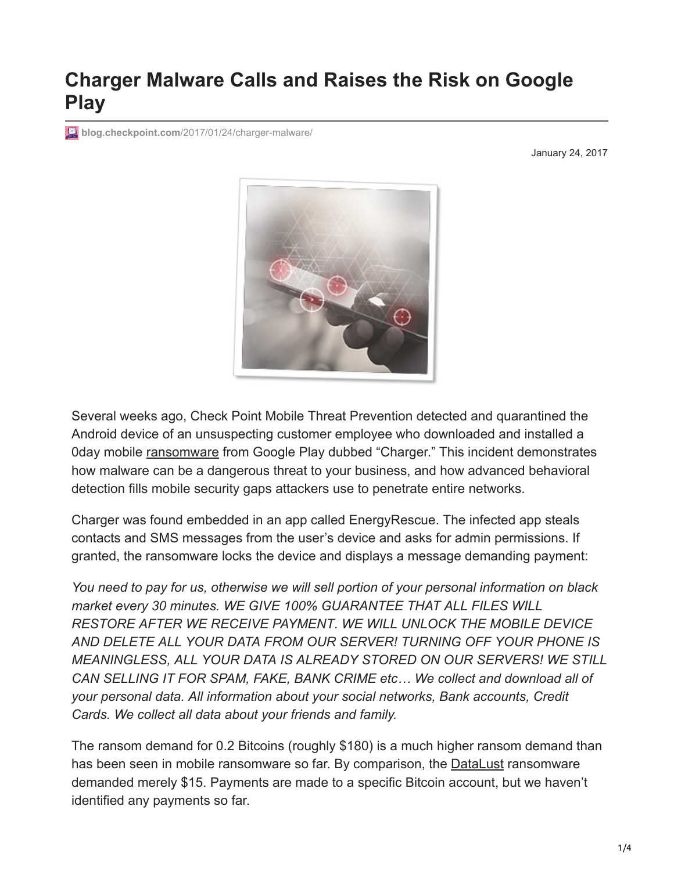## **Charger Malware Calls and Raises the Risk on Google Play**

**blog.checkpoint.com[/2017/01/24/charger-malware/](http://blog.checkpoint.com/2017/01/24/charger-malware/)** 

January 24, 2017



Several weeks ago, Check Point Mobile Threat Prevention detected and quarantined the Android device of an unsuspecting customer employee who downloaded and installed a 0day mobile [ransomware](https://www.checkpoint.com/cyber-hub/threat-prevention/what-is-ransomware/) from Google Play dubbed "Charger." This incident demonstrates how malware can be a dangerous threat to your business, and how advanced behavioral detection fills mobile security gaps attackers use to penetrate entire networks.

Charger was found embedded in an app called EnergyRescue. The infected app steals contacts and SMS messages from the user's device and asks for admin permissions. If granted, the ransomware locks the device and displays a message demanding payment:

*You need to pay for us, otherwise we will sell portion of your personal information on black market every 30 minutes. WE GIVE 100% GUARANTEE THAT ALL FILES WILL RESTORE AFTER WE RECEIVE PAYMENT*. *WE WILL UNLOCK THE MOBILE DEVICE AND DELETE ALL YOUR DATA FROM OUR SERVER! TURNING OFF YOUR PHONE IS MEANINGLESS, ALL YOUR DATA IS ALREADY STORED ON OUR SERVERS! WE STILL CAN SELLING IT FOR SPAM, FAKE, BANK CRIME etc… We collect and download all of your personal data. All information about your social networks, Bank accounts, Credit Cards. We collect all data about your friends and family.*

The ransom demand for 0.2 Bitcoins (roughly \$180) is a much higher ransom demand than has been seen in mobile ransomware so far. By comparison, the **DataLust** ransomware demanded merely \$15. Payments are made to a specific Bitcoin account, but we haven't identified any payments so far.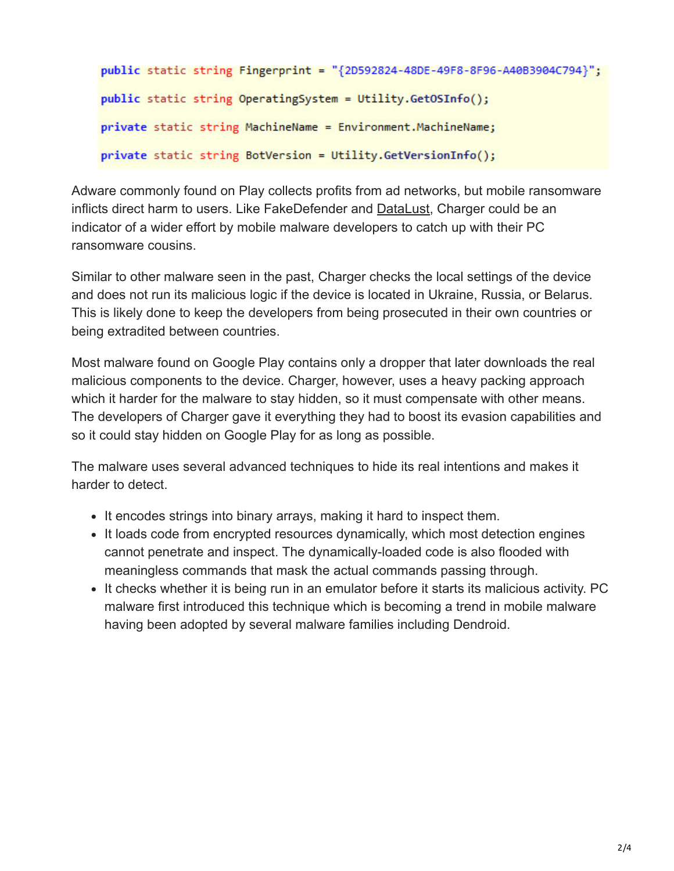```
public static string Fingerprint = "{2D592824-48DE-49F8-8F96-A40B3904C794}";
public static string OperatingSystem = Utility.GetOSInfo();
private static string MachineName = Environment.MachineName;
private static string BotVersion = Utility.GetVersionInfo();
```
Adware commonly found on Play collects profits from ad networks, but mobile ransomware inflicts direct harm to users. Like FakeDefender and [DataLust,](http://blog.checkpoint.com/2016/03/25/in-the-wild-mobile-security-observations-from-the-check-point-research-team-7/) Charger could be an indicator of a wider effort by mobile malware developers to catch up with their PC ransomware cousins.

Similar to other malware seen in the past, Charger checks the local settings of the device and does not run its malicious logic if the device is located in Ukraine, Russia, or Belarus. This is likely done to keep the developers from being prosecuted in their own countries or being extradited between countries.

Most malware found on Google Play contains only a dropper that later downloads the real malicious components to the device. Charger, however, uses a heavy packing approach which it harder for the malware to stay hidden, so it must compensate with other means. The developers of Charger gave it everything they had to boost its evasion capabilities and so it could stay hidden on Google Play for as long as possible.

The malware uses several advanced techniques to hide its real intentions and makes it harder to detect.

- It encodes strings into binary arrays, making it hard to inspect them.
- It loads code from encrypted resources dynamically, which most detection engines cannot penetrate and inspect. The dynamically-loaded code is also flooded with meaningless commands that mask the actual commands passing through.
- It checks whether it is being run in an emulator before it starts its malicious activity. PC malware first introduced this technique which is becoming a trend in mobile malware having been adopted by several malware families including Dendroid.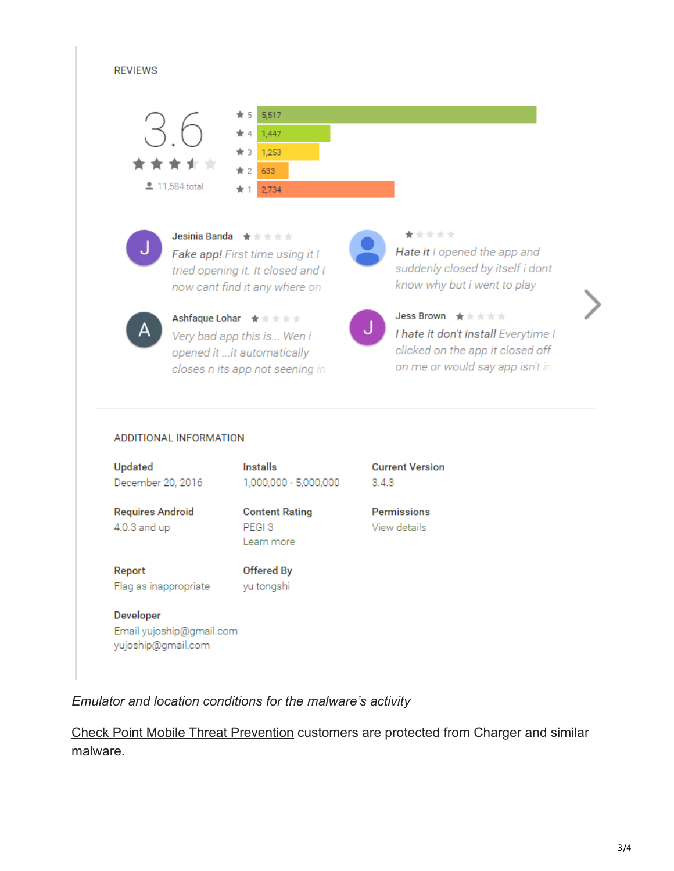

## ADDITIONAL INFORMATION

Email yujoship@gmail.com yujoship@gmail.com

| Updated                                 | <b>Installs</b>                                          | <b>Current Version</b>             |
|-----------------------------------------|----------------------------------------------------------|------------------------------------|
| December 20, 2016                       | 1,000,000 - 5,000,000                                    | 3.4.3                              |
| <b>Requires Android</b><br>4.0.3 and up | <b>Content Rating</b><br>PEGI <sub>3</sub><br>Learn more | <b>Permissions</b><br>View details |
| Report<br>Flag as inappropriate         | Offered By<br>yu tongshi                                 |                                    |
| Developer                               |                                                          |                                    |

*Emulator and location conditions for the malware's activity*

[Check Point Mobile Threat Prevention](https://www.checkpoint.com/products/mobile-threat-prevention/) customers are protected from Charger and similar malware.